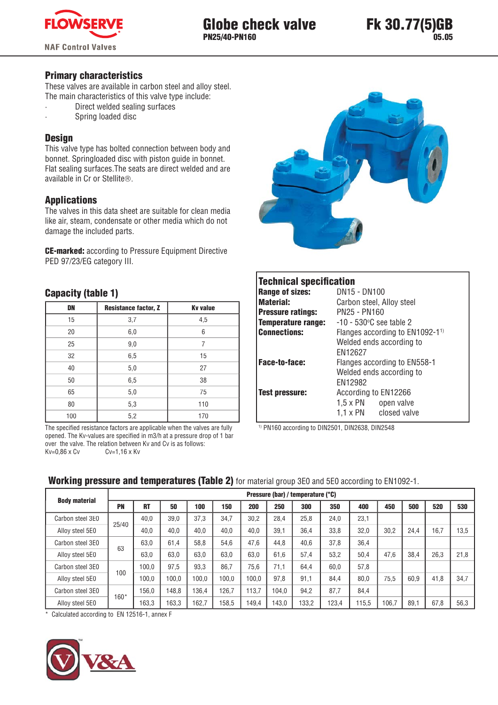

### **Primary characteristics**

These valves are available in carbon steel and alloy steel. The main characteristics of this valve type include:

- Direct welded sealing surfaces
	- Spring loaded disc

### **Design**

This valve type has bolted connection between body and bonnet. Springloaded disc with piston guide in bonnet. Flat sealing surfaces. The seats are direct welded and are available in Cr or Stellite®.

## **Applications**

The valves in this data sheet are suitable for clean media like air, steam, condensate or other media which do not damage the included parts.

**CE-marked:** according to Pressure Equipment Directive PED 97/23/EG category III.

## **Capacity (table 1)**

| DN  | <b>Resistance factor, Z</b> | <b>Kv</b> value |
|-----|-----------------------------|-----------------|
| 15  | 3,7                         | 4,5             |
| 20  | 6,0                         | 6               |
| 25  | 9,0                         | 7               |
| 32  | 6,5                         | 15              |
| 40  | 5,0                         | 27              |
| 50  | 6,5                         | 38              |
| 65  | 5,0                         | 75              |
| 80  | 5,3                         | 110             |
| 100 | 5,2                         | 170             |

The specified resistance factors are applicable when the valves are fully opened. The Kv-values are specified in m3/h at a pressure drop of 1 bar over the valve. The relation between Kv and Cv is as follows:  $Kv=0,86 \times Cv$  $Cv=1,16 \times Kv$ 



| <b>Technical specification</b> |                                            |  |  |  |
|--------------------------------|--------------------------------------------|--|--|--|
| <b>Range of sizes:</b>         | DN15 - DN100                               |  |  |  |
| <b>Material:</b>               | Carbon steel, Alloy steel                  |  |  |  |
| <b>Pressure ratings:</b>       | PN25 - PN160                               |  |  |  |
| <b>Temperature range:</b>      | $-10 - 530$ °C see table 2                 |  |  |  |
| <b>Connections:</b>            | Flanges according to EN1092-1 <sup>1</sup> |  |  |  |
|                                | Welded ends according to                   |  |  |  |
|                                | FN12627                                    |  |  |  |
| Face-to-face:                  | Flanges according to EN558-1               |  |  |  |
|                                | Welded ends according to                   |  |  |  |
|                                | FN12982                                    |  |  |  |
| Test pressure:                 | According to EN12266                       |  |  |  |
|                                | $1.5 \times PN$ open valve                 |  |  |  |
|                                | 1,1 x PN closed valve                      |  |  |  |
|                                |                                            |  |  |  |

<sup>1)</sup> PN160 according to DIN2501, DIN2638, DIN2548

|                      |        | Pressure (bar) / temperature (°C) |       |       |       |       |       |       |       |       |       |      |      |      |
|----------------------|--------|-----------------------------------|-------|-------|-------|-------|-------|-------|-------|-------|-------|------|------|------|
| <b>Body material</b> | PN     | <b>RT</b>                         | 50    | 100   | 150   | 200   | 250   | 300   | 350   | 400   | 450   | 500  | 520  | 530  |
| Carbon steel 3E0     |        | 40.0                              | 39.0  | 37.3  | 34.7  | 30.2  | 28.4  | 25,8  | 24.0  | 23,1  |       |      |      |      |
| Alloy steel 5E0      | 25/40  | 40.0                              | 40.0  | 40.0  | 40.0  | 40.0  | 39.1  | 36.4  | 33.8  | 32.0  | 30.2  | 24.4 | 16.7 | 13,5 |
| Carbon steel 3E0     | 63     | 63.0                              | 61.4  | 58.8  | 54.6  | 47.6  | 44.8  | 40.6  | 37.8  | 36,4  |       |      |      |      |
| Alloy steel 5E0      |        | 63.0                              | 63.0  | 63.0  | 63.0  | 63.0  | 61.6  | 57,4  | 53,2  | 50.4  | 47.6  | 38.4 | 26.3 | 21.8 |
| Carbon steel 3E0     |        | 100.0                             | 97.5  | 93.3  | 86.7  | 75,6  | 71.1  | 64.4  | 60.0  | 57.8  |       |      |      |      |
| Alloy steel 5E0      | 100    | 100.0                             | 0.001 | 100.0 | 100.0 | 100.0 | 97.8  | 91.1  | 84.4  | 80.0  | 75.5  | 60.9 | 41.8 | 34,7 |
| Carbon steel 3E0     |        | 156.0                             | 148.8 | 136.4 | 126.7 | 113.7 | 104.0 | 94,2  | 87.7  | 84.4  |       |      |      |      |
| Alloy steel 5E0      | $160*$ | 163.3                             | 63,3  | 162.7 | 158.5 | 149.4 | 143.0 | 133,2 | 123,4 | 115.5 | 106.7 | 89.1 | 67,8 | 56,3 |

### **Working pressure and temperatures (Table 2)** for material group 3E0 and 5E0 according to EN1092-1.

\* Calculated according to EN 12516-1, annex F

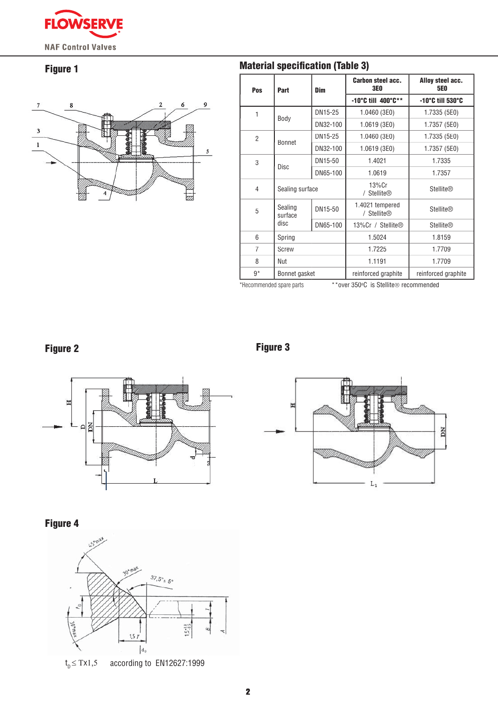

## Figure 1



| Pos            | Part               | Dim      | <b>Carbon steel acc.</b><br><b>3E0</b>  | Alloy steel acc.<br><b>5E0</b> |
|----------------|--------------------|----------|-----------------------------------------|--------------------------------|
|                |                    |          | $-10^{\circ}$ C till 400 $^{\circ}$ C** | -10°C till 530°C               |
| 1              | Body               | DN15-25  | 1.0460 (3E0)                            | 1.7335 (5E0)                   |
|                |                    | DN32-100 | 1.0619 (3E0)                            | 1.7357 (5E0)                   |
| $\overline{2}$ | Bonnet             | DN15-25  | 1.0460 (3E0)                            | 1.7335 (5E0)                   |
|                |                    | DN32-100 | 1.0619 (3E0)                            | 1.7357 (5E0)                   |
| 3              | Disc               | DN15-50  | 1.4021                                  | 1.7335                         |
|                |                    | DN65-100 | 1.0619                                  | 1.7357                         |
| 4              | Sealing surface    |          | $13\%$ Cr<br>/ Stellite®                | <b>Stellite®</b>               |
| 5              | Sealing<br>surface | DN15-50  | 1.4021 tempered<br>/ Stellite®          | <b>Stellite®</b>               |
|                | disc               | DN65-100 | 13%Cr / Stellite®                       | <b>Stellite®</b>               |
| 6              | Spring             |          | 1.5024                                  | 1.8159                         |
| 7              | Screw              |          | 1.7225                                  | 1.7709                         |
| 8              | Nut                |          | 1.1191                                  | 1.7709                         |
| $9*$           | Bonnet gasket      |          | reinforced graphite                     | reinforced graphite            |

\*Recommended spare parts

\*\*over 350°C is Stellite® recommended

# Figure 2





# Figure 4



according to EN12627:1999  $t_{\text{p}} \leq \text{Tx1}, 5$ 



# **Material specification (Table 3)**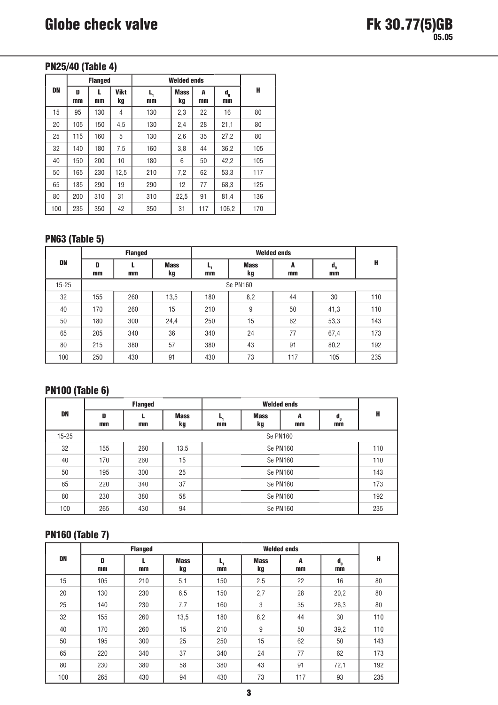## **PN25/40 (Table 4)**

|     |         | <b>Flanged</b> |                   | <b>Welded ends</b> |                   |         |                                 |     |
|-----|---------|----------------|-------------------|--------------------|-------------------|---------|---------------------------------|-----|
| DN  | D<br>mm | L<br>mm        | <b>Vikt</b><br>kg | L,<br>mm           | <b>Mass</b><br>kg | A<br>mm | $\mathbf{d}_{\mathbf{0}}$<br>mm | H   |
| 15  | 95      | 130            | 4                 | 130                | 2,3               | 22      | 16                              | 80  |
| 20  | 105     | 150            | 4,5               | 130                | 2,4               | 28      | 21,1                            | 80  |
| 25  | 115     | 160            | 5                 | 130                | 2,6               | 35      | 27,2                            | 80  |
| 32  | 140     | 180            | 7,5               | 160                | 3,8               | 44      | 36,2                            | 105 |
| 40  | 150     | 200            | 10                | 180                | 6                 | 50      | 42,2                            | 105 |
| 50  | 165     | 230            | 12,5              | 210                | 7,2               | 62      | 53,3                            | 117 |
| 65  | 185     | 290            | 19                | 290                | 12                | 77      | 68,3                            | 125 |
| 80  | 200     | 310            | 31                | 310                | 22,5              | 91      | 81,4                            | 136 |
| 100 | 235     | 350            | 42                | 350                | 31                | 117     | 106,2                           | 170 |

# **PN63 (Table 5)**

|           |         | <b>Flanged</b> |                   |          |                   |         |                                    |     |
|-----------|---------|----------------|-------------------|----------|-------------------|---------|------------------------------------|-----|
| DN        | D<br>mm | mm             | <b>Mass</b><br>kg | ь,<br>mm | <b>Mass</b><br>kg | A<br>mm | $\mathbf{d}_{_{\mathbf{0}}}$<br>mm | н   |
| $15 - 25$ |         |                |                   |          | Se PN160          |         |                                    |     |
| 32        | 155     | 260            | 13,5              | 180      | 8,2               | 44      | 30                                 | 110 |
| 40        | 170     | 260            | 15                | 210      | 9                 | 50      | 41,3                               | 110 |
| 50        | 180     | 300            | 24,4              | 250      | 15                | 62      | 53,3                               | 143 |
| 65        | 205     | 340            | 36                | 340      | 24                | 77      | 67,4                               | 173 |
| 80        | 215     | 380            | 57                | 380      | 43                | 91      | 80,2                               | 192 |
| 100       | 250     | 430            | 91                | 430      | 73                | 117     | 105                                | 235 |

## **PN100 (Table 6)**

|           |         | <b>Flanged</b> |                   |          |                   |           |                                    |     |
|-----------|---------|----------------|-------------------|----------|-------------------|-----------|------------------------------------|-----|
| DN        | D<br>mm | mm             | <b>Mass</b><br>kg | ь,<br>mm | <b>Mass</b><br>kg | A<br>$mm$ | $\mathbf{d}_{_{\mathbf{0}}}$<br>mm | H   |
| $15 - 25$ |         | Se PN160       |                   |          |                   |           |                                    |     |
| 32        | 155     | 260            | 13,5              | Se PN160 |                   |           |                                    | 110 |
| 40        | 170     | 260            | 15                | Se PN160 |                   |           | 110                                |     |
| 50        | 195     | 300            | 25                |          | Se PN160          |           |                                    | 143 |
| 65        | 220     | 340            | 37                | Se PN160 |                   |           | 173                                |     |
| 80        | 230     | 380            | 58                | Se PN160 |                   |           | 192                                |     |
| 100       | 265     | 430            | 94                | Se PN160 |                   |           | 235                                |     |

## **PN160 (Table 7)**

|     |         | <b>Flanged</b> |                   |          |                   |         |                                    |     |
|-----|---------|----------------|-------------------|----------|-------------------|---------|------------------------------------|-----|
| DN  | D<br>mm | mm             | <b>Mass</b><br>kg | ь,<br>mm | <b>Mass</b><br>kg | A<br>mm | $\mathbf{d}_{_{\mathbf{0}}}$<br>mm | H   |
| 15  | 105     | 210            | 5,1               | 150      | 2,5               | 22      | 16                                 | 80  |
| 20  | 130     | 230            | 6,5               | 150      | 2,7               | 28      | 20,2                               | 80  |
| 25  | 140     | 230            | 7,7               | 160      | 3                 | 35      | 26,3                               | 80  |
| 32  | 155     | 260            | 13,5              | 180      | 8,2               | 44      | 30                                 | 110 |
| 40  | 170     | 260            | 15                | 210      | 9                 | 50      | 39,2                               | 110 |
| 50  | 195     | 300            | 25                | 250      | 15                | 62      | 50                                 | 143 |
| 65  | 220     | 340            | 37                | 340      | 24                | 77      | 62                                 | 173 |
| 80  | 230     | 380            | 58                | 380      | 43                | 91      | 72,1                               | 192 |
| 100 | 265     | 430            | 94                | 430      | 73                | 117     | 93                                 | 235 |